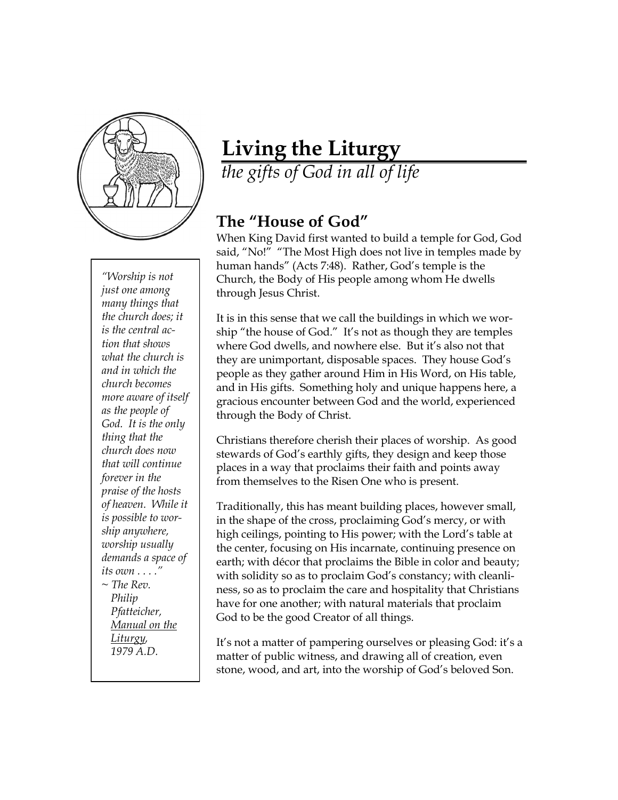

*"Worship is not just one among many things that the church does; it is the central action that shows what the church is and in which the church becomes more aware of itself as the people of God. It is the only thing that the church does now that will continue forever in the praise of the hosts of heaven. While it is possible to worship anywhere, worship usually demands a space of its own . . . ." ~ The Rev. Philip Pfatteicher, Manual on the Liturgy, 1979 A.D.*

## **Living the Liturgy**

*the gifts of God in all of life*

## **The "House of God"**

When King David first wanted to build a temple for God, God said, "No!" "The Most High does not live in temples made by human hands" (Acts 7:48). Rather, God's temple is the Church, the Body of His people among whom He dwells through Jesus Christ.

It is in this sense that we call the buildings in which we worship "the house of God." It's not as though they are temples where God dwells, and nowhere else. But it's also not that they are unimportant, disposable spaces. They house God's people as they gather around Him in His Word, on His table, and in His gifts. Something holy and unique happens here, a gracious encounter between God and the world, experienced through the Body of Christ.

Christians therefore cherish their places of worship. As good stewards of God's earthly gifts, they design and keep those places in a way that proclaims their faith and points away from themselves to the Risen One who is present.

Traditionally, this has meant building places, however small, in the shape of the cross, proclaiming God's mercy, or with high ceilings, pointing to His power; with the Lord's table at the center, focusing on His incarnate, continuing presence on earth; with décor that proclaims the Bible in color and beauty; with solidity so as to proclaim God's constancy; with cleanliness, so as to proclaim the care and hospitality that Christians have for one another; with natural materials that proclaim God to be the good Creator of all things.

It's not a matter of pampering ourselves or pleasing God: it's a matter of public witness, and drawing all of creation, even stone, wood, and art, into the worship of God's beloved Son.